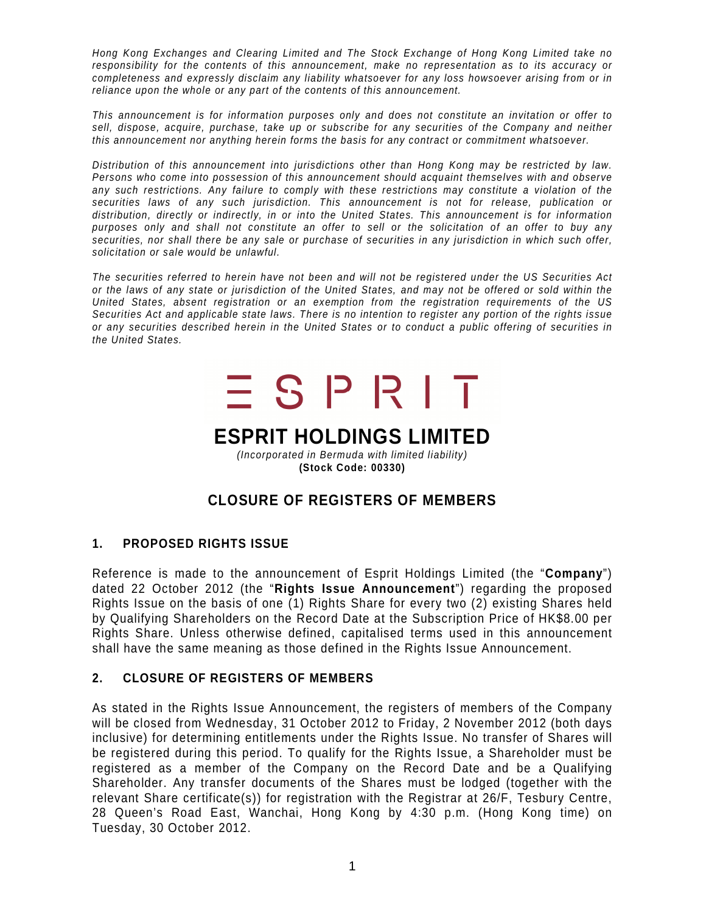Hong Kong Exchanges and Clearing Limited and The Stock Exchange of Hong Kong Limited take no responsibility for the contents of this announcement, make no representation as to its accuracy or completeness and expressly disclaim any liability whatsoever for any loss howsoever arising from or in reliance upon the whole or any part of the contents of this announcement.

This announcement is for information purposes only and does not constitute an invitation or offer to sell, dispose, acquire, purchase, take up or subscribe for any securities of the Company and neither this announcement nor anything herein forms the basis for any contract or commitment whatsoever.

Distribution of this announcement into jurisdictions other than Hong Kong may be restricted by law. Persons who come into possession of this announcement should acquaint themselves with and observe any such restrictions. Any failure to comply with these restrictions may constitute a violation of the securities laws of any such jurisdiction. This announcement is not for release, publication or distribution, directly or indirectly, in or into the United States. This announcement is for information purposes only and shall not constitute an offer to sell or the solicitation of an offer to buy any securities, nor shall there be any sale or purchase of securities in any jurisdiction in which such offer, solicitation or sale would be unlawful.

The securities referred to herein have not been and will not be registered under the US Securities Act or the laws of any state or jurisdiction of the United States, and may not be offered or sold within the United States, absent registration or an exemption from the registration requirements of the US Securities Act and applicable state laws. There is no intention to register any portion of the rights issue or any securities described herein in the United States or to conduct a public offering of securities in the United States.

# $\equiv$  S P R I T

## **ESPRIT HOLDINGS LIMITED**

(Incorporated in Bermuda with limited liability) **(Stock Code: 00330)** 

### **CLOSURE OF REGISTERS OF MEMBERS**

#### **1. PROPOSED RIGHTS ISSUE**

Reference is made to the announcement of Esprit Holdings Limited (the "**Company**") dated 22 October 2012 (the "**Rights Issue Announcement**") regarding the proposed Rights Issue on the basis of one (1) Rights Share for every two (2) existing Shares held by Qualifying Shareholders on the Record Date at the Subscription Price of HK\$8.00 per Rights Share. Unless otherwise defined, capitalised terms used in this announcement shall have the same meaning as those defined in the Rights Issue Announcement.

#### **2. CLOSURE OF REGISTERS OF MEMBERS**

As stated in the Rights Issue Announcement, the registers of members of the Company will be closed from Wednesday, 31 October 2012 to Friday, 2 November 2012 (both days inclusive) for determining entitlements under the Rights Issue. No transfer of Shares will be registered during this period. To qualify for the Rights Issue, a Shareholder must be registered as a member of the Company on the Record Date and be a Qualifying Shareholder. Any transfer documents of the Shares must be lodged (together with the relevant Share certificate(s)) for registration with the Registrar at 26/F, Tesbury Centre, 28 Queen's Road East, Wanchai, Hong Kong by 4:30 p.m. (Hong Kong time) on Tuesday, 30 October 2012.